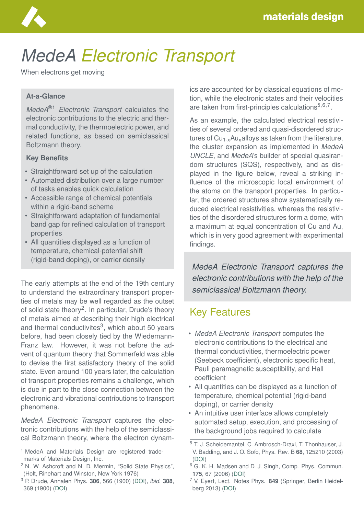

# *MedeA Electronic Transport*

When electrons get moving

#### **At-a-Glance**

*MedeA*®1 *Electronic Transport* calculates the electronic contributions to the electric and thermal conductivity, the thermoelectric power, and related functions, as based on semiclassical Boltzmann theory.

#### **Key Benefits**

- Straightforward set up of the calculation
- Automated distribution over a large number of tasks enables quick calculation
- Accessible range of chemical potentials within a rigid-band scheme
- Straightforward adaptation of fundamental band gap for refined calculation of transport properties
- All quantities displayed as a function of temperature, chemical-potential shift (rigid-band doping), or carrier density

The early attempts at the end of the 19th century to understand the extraordinary transport properties of metals may be well regarded as the outset of solid state theory<sup>2</sup>. In particular, Drude's theory of metals aimed at describing their high electrical and thermal conductivites<sup>3</sup>, which about 50 years before, had been closely tied by the Wiedemann-Franz law. However, it was not before the advent of quantum theory that Sommerfeld was able to devise the first satisfactory theory of the solid state. Even around 100 years later, the calculation of transport properties remains a challenge, which is due in part to the close connection between the electronic and vibrational contributions to transport phenomena.

*MedeA Electronic Transport* captures the electronic contributions with the help of the semiclassical Boltzmann theory, where the electron dynamics are accounted for by classical equations of motion, while the electronic states and their velocities are taken from first-principles calculations<sup>5,6,7</sup>.

As an example, the calculated electrical resistivities of several ordered and quasi-disordered structures of  $Cu_{1-x}Au_{x}$ alloys as taken from the literature, the cluster expansion as implemented in *MedeA UNCLE*, and *MedeA*'s builder of special quasirandom structures (SQS), respectively, and as displayed in the figure below, reveal a striking influence of the microscopic local environment of the atoms on the transport properties. In particular, the ordered structures show systematically reduced electrical resistivities, whereas the resistivities of the disordered structures form a dome, with a maximum at equal concentration of Cu and Au, which is in very good agreement with experimental findings.

*MedeA Electronic Transport captures the electronic contributions with the help of the semiclassical Boltzmann theory.*

### Key Features

- *MedeA Electronic Transport* computes the electronic contributions to the electrical and thermal conductivities, thermoelectric power (Seebeck coefficient), electronic specific heat, Pauli paramagnetic susceptibility, and Hall coefficient
- All quantities can be displayed as a function of temperature, chemical potential (rigid-band doping), or carrier density
- An intuitive user interface allows completely automated setup, execution, and processing of the background jobs required to calculate

<sup>&</sup>lt;sup>1</sup> MedeA and Materials Design are registered trademarks of Materials Design, Inc.

<sup>2</sup> N. W. Ashcroft and N. D. Mermin, "Solid State Physics", (Holt, Rinehart and Winston, New York 1976)

<sup>3</sup> P. Drude, Annalen Phys. **306**, 566 (1900) [\(DOI\)](https://doi.org/10.1002/andp.19003060312), *ibid.* **308**, 369 (1900) [\(DOI\)](https://doi.org/10.1002/andp.19003081102)

<sup>5</sup> T. J. Scheidemantel, C. Ambrosch-Draxl, T. Thonhauser, J. V. Badding, and J. O. Sofo, Phys. Rev. B **68**, 125210 (2003) [\(DOI\)](https://doi.org/10.1103/PhysRevB.68.125210)

<sup>&</sup>lt;sup>6</sup> G. K. H. Madsen and D. J. Singh, Comp. Phys. Commun. **175**, 67 (2006) [\(DOI\)](https://doi.org/10.1016/j.cpc.2006.03.007)

<sup>7</sup> V. Eyert, Lect. Notes Phys. **849** (Springer, Berlin Heidelberg 2013) [\(DOI\)](https://doi.org/10.1007/978-3-642-25864-0)